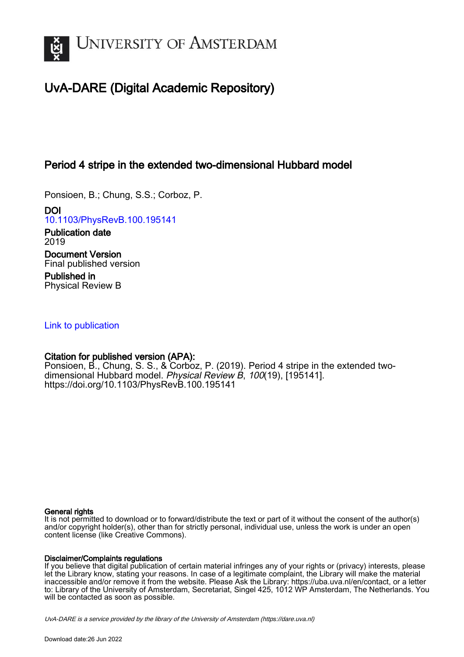

# UvA-DARE (Digital Academic Repository)

## Period 4 stripe in the extended two-dimensional Hubbard model

Ponsioen, B.; Chung, S.S.; Corboz, P.

DOI [10.1103/PhysRevB.100.195141](https://doi.org/10.1103/PhysRevB.100.195141)

Publication date 2019 Document Version Final published version

Published in Physical Review B

## [Link to publication](https://dare.uva.nl/personal/pure/en/publications/period-4-stripe-in-the-extended-twodimensional-hubbard-model(24fb1dd7-99fe-48ce-ab26-2ec3348b4bee).html)

## Citation for published version (APA):

Ponsioen, B., Chung, S. S., & Corboz, P. (2019). Period 4 stripe in the extended twodimensional Hubbard model. Physical Review B, 100(19), [195141]. <https://doi.org/10.1103/PhysRevB.100.195141>

## General rights

It is not permitted to download or to forward/distribute the text or part of it without the consent of the author(s) and/or copyright holder(s), other than for strictly personal, individual use, unless the work is under an open content license (like Creative Commons).

## Disclaimer/Complaints regulations

If you believe that digital publication of certain material infringes any of your rights or (privacy) interests, please let the Library know, stating your reasons. In case of a legitimate complaint, the Library will make the material inaccessible and/or remove it from the website. Please Ask the Library: https://uba.uva.nl/en/contact, or a letter to: Library of the University of Amsterdam, Secretariat, Singel 425, 1012 WP Amsterdam, The Netherlands. You will be contacted as soon as possible.

UvA-DARE is a service provided by the library of the University of Amsterdam (http*s*://dare.uva.nl)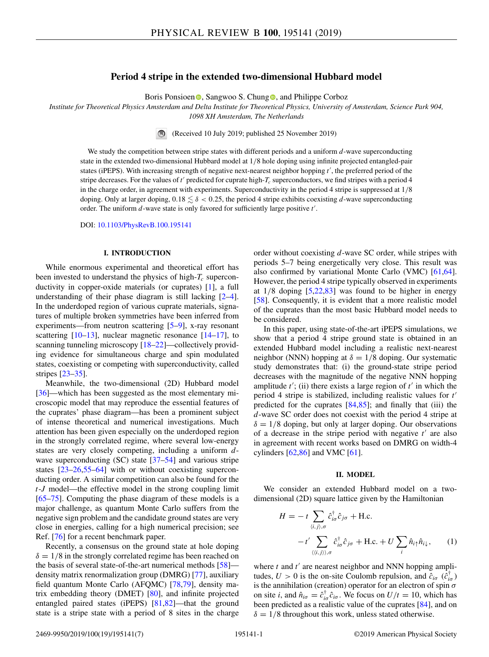### **Period 4 stripe in the extended two-dimensional Hubbard model**

Boris Po[n](https://orcid.org/0000-0002-1558-2344)sioen **.** Sangwoo S. Chung **.** and Philippe Corboz

*Institute for Theoretical Physics Amsterdam and Delta Institute for Theoretical Physics, University of Amsterdam, Science Park 904, 1098 XH Amsterdam, The Netherlands*

(Received 10 July 2019; published 25 November 2019)

We study the competition between stripe states with different periods and a uniform *d*-wave superconducting state in the extended two-dimensional Hubbard model at 1/8 hole doping using infinite projected entangled-pair states (iPEPS). With increasing strength of negative next-nearest neighbor hopping t', the preferred period of the stripe decreases. For the values of  $t'$  predicted for cuprate high- $T_c$  superconductors, we find stripes with a period 4 in the charge order, in agreement with experiments. Superconductivity in the period 4 stripe is suppressed at 1/8 doping. Only at larger doping,  $0.18 \lesssim \delta < 0.25$ , the period 4 stripe exhibits coexisting d-wave superconducting order. The uniform *d*-wave state is only favored for sufficiently large positive *t'*.

DOI: [10.1103/PhysRevB.100.195141](https://doi.org/10.1103/PhysRevB.100.195141)

#### **I. INTRODUCTION**

While enormous experimental and theoretical effort has been invested to understand the physics of high- $T_c$  superconductivity in copper-oxide materials (or cuprates) [\[1\]](#page-5-0), a full understanding of their phase diagram is still lacking [\[2–4\]](#page-5-0). In the underdoped region of various cuprate materials, signatures of multiple broken symmetries have been inferred from experiments—from neutron scattering [\[5–9\]](#page-5-0), x-ray resonant scattering  $[10-13]$ , nuclear magnetic resonance  $[14-17]$ , to scanning tunneling microscopy [\[18–22\]](#page-6-0)—collectively providing evidence for simultaneous charge and spin modulated states, coexisting or competing with superconductivity, called stripes [\[23–35\]](#page-6-0).

Meanwhile, the two-dimensional (2D) Hubbard model [\[36\]](#page-6-0)—which has been suggested as the most elementary microscopic model that may reproduce the essential features of the cuprates' phase diagram—has been a prominent subject of intense theoretical and numerical investigations. Much attention has been given especially on the underdoped region in the strongly correlated regime, where several low-energy states are very closely competing, including a uniform *d*-wave superconducting (SC) state [\[37–54\]](#page-6-0) and various stripe states [\[23–26,55–64\]](#page-6-0) with or without coexisting superconducting order. A similar competition can also be found for the *t*-*J* model—the effective model in the strong coupling limit [\[65](#page-6-0)[–75\]](#page-7-0). Computing the phase diagram of these models is a major challenge, as quantum Monte Carlo suffers from the negative sign problem and the candidate ground states are very close in energies, calling for a high numerical precision; see Ref. [\[76\]](#page-7-0) for a recent benchmark paper.

Recently, a consensus on the ground state at hole doping  $\delta = 1/8$  in the strongly correlated regime has been reached on the basis of several state-of-the-art numerical methods [\[58\]](#page-6-0) density matrix renormalization group (DMRG) [\[77\]](#page-7-0), auxiliary field quantum Monte Carlo (AFQMC) [\[78,79\]](#page-7-0), density matrix embedding theory (DMET) [\[80\]](#page-7-0), and infinite projected entangled paired states (iPEPS) [\[81,82\]](#page-7-0)—that the ground state is a stripe state with a period of 8 sites in the charge

order without coexisting *d*-wave SC order, while stripes with periods 5–7 being energetically very close. This result was also confirmed by variational Monte Carlo (VMC) [\[61,64\]](#page-6-0). However, the period 4 stripe typically observed in experiments at  $1/8$  doping  $[5,22,83]$  $[5,22,83]$  $[5,22,83]$  was found to be higher in energy [\[58\]](#page-6-0). Consequently, it is evident that a more realistic model of the cuprates than the most basic Hubbard model needs to be considered.

In this paper, using state-of-the-art iPEPS simulations, we show that a period 4 stripe ground state is obtained in an extended Hubbard model including a realistic next-nearest neighbor (NNN) hopping at  $\delta = 1/8$  doping. Our systematic study demonstrates that: (i) the ground-state stripe period decreases with the magnitude of the negative NNN hopping amplitude  $t'$ ; (ii) there exists a large region of  $t'$  in which the period 4 stripe is stabilized, including realistic values for *t* predicted for the cuprates  $[84,85]$ ; and finally that (iii) the *d*-wave SC order does not coexist with the period 4 stripe at  $\delta = 1/8$  doping, but only at larger doping. Our observations of a decrease in the stripe period with negative  $t'$  are also in agreement with recent works based on DMRG on width-4 cylinders  $[62,86]$  $[62,86]$  and VMC  $[61]$ .

#### **II. MODEL**

We consider an extended Hubbard model on a twodimensional (2D) square lattice given by the Hamiltonian

$$
H = -t \sum_{\langle i,j \rangle,\sigma} \hat{c}_{i\sigma}^{\dagger} \hat{c}_{j\sigma} + \text{H.c.}
$$

$$
-t' \sum_{\langle\langle i,j \rangle\rangle,\sigma} \hat{c}_{i\sigma}^{\dagger} \hat{c}_{j\sigma} + \text{H.c.} + U \sum_{i} \hat{n}_{i\uparrow} \hat{n}_{i\downarrow}, \qquad (1)
$$

where  $t$  and  $t'$  are nearest neighbor and NNN hopping amplitudes,  $U > 0$  is the on-site Coulomb repulsion, and  $\hat{c}_{i\sigma}$  ( $\hat{c}_{i\sigma}^{\dagger}$ ) is the annihilation (creation) operator for an electron of spin  $\sigma$ on site *i*, and  $\hat{n}_{i\sigma} = \hat{c}^{\dagger}_{i\sigma} \hat{c}_{i\sigma}$ . We focus on  $U/t = 10$ , which has been predicted as a realistic value of the cuprates [\[84\]](#page-7-0), and on  $\delta = 1/8$  throughout this work, unless stated otherwise.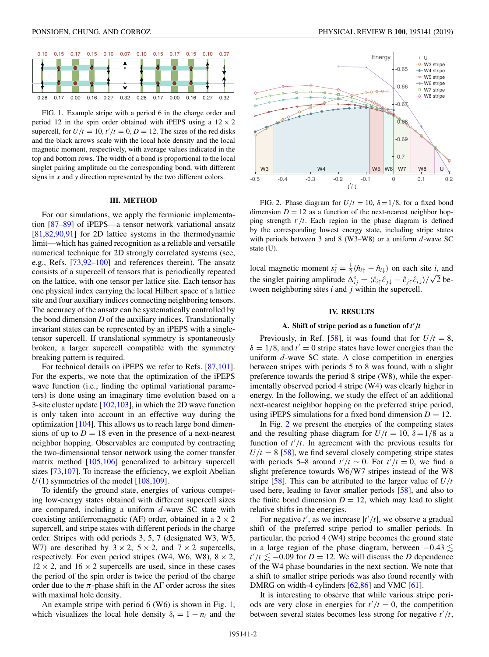0.16

0.27

0.32

<span id="page-2-0"></span>0.28

0.17

0.00

0.17

0.00

0.16

0.27

0.32

0.28

FIG. 1. Example stripe with a period 6 in the charge order and period 12 in the spin order obtained with iPEPS using a  $12 \times 2$ supercell, for  $U/t = 10$ ,  $t'/t = 0$ ,  $D = 12$ . The sizes of the red disks and the black arrows scale with the local hole density and the local magnetic moment, respectively, with average values indicated in the top and bottom rows. The width of a bond is proportional to the local singlet pairing amplitude on the corresponding bond, with different signs in *x* and *y* direction represented by the two different colors.

#### **III. METHOD**

For our simulations, we apply the fermionic implementation [\[87–89\]](#page-7-0) of iPEPS—a tensor network variational ansatz [\[81,82,90,91\]](#page-7-0) for 2D lattice systems in the thermodynamic limit—which has gained recognition as a reliable and versatile numerical technique for 2D strongly correlated systems (see, e.g., Refs. [\[73,92–100\]](#page-7-0) and references therein). The ansatz consists of a supercell of tensors that is periodically repeated on the lattice, with one tensor per lattice site. Each tensor has one physical index carrying the local Hilbert space of a lattice site and four auxiliary indices connecting neighboring tensors. The accuracy of the ansatz can be systematically controlled by the bond dimension *D* of the auxiliary indices. Translationally invariant states can be represented by an iPEPS with a singletensor supercell. If translational symmetry is spontaneously broken, a larger supercell compatible with the symmetry breaking pattern is required.

For technical details on iPEPS we refer to Refs. [\[87,101\]](#page-7-0). For the experts, we note that the optimization of the iPEPS wave function (i.e., finding the optimal variational parameters) is done using an imaginary time evolution based on a 3-site cluster update [\[102,103\]](#page-7-0), in which the 2D wave function is only taken into account in an effective way during the optimization [\[104\]](#page-7-0). This allows us to reach large bond dimensions of up to  $D = 18$  even in the presence of a next-nearest neighbor hopping. Observables are computed by contracting the two-dimensional tensor network using the corner transfer matrix method [\[105,106\]](#page-7-0) generalized to arbitrary supercell sizes [\[73,107\]](#page-7-0). To increase the efficiency, we exploit Abelian  $U(1)$  symmetries of the model [\[108,109\]](#page-7-0).

To identify the ground state, energies of various competing low-energy states obtained with different supercell sizes are compared, including a uniform *d*-wave SC state with coexisting antiferromagnetic (AF) order, obtained in a  $2 \times 2$ supercell, and stripe states with different periods in the charge order. Stripes with odd periods 3, 5, 7 (designated W3, W5, W7) are described by  $3 \times 2$ ,  $5 \times 2$ , and  $7 \times 2$  supercells, respectively. For even period stripes (W4, W6, W8),  $8 \times 2$ ,  $12 \times 2$ , and  $16 \times 2$  supercells are used, since in these cases the period of the spin order is twice the period of the charge order due to the  $\pi$ -phase shift in the AF order across the sites with maximal hole density.

An example stripe with period  $6$  (W6) is shown in Fig. 1, which visualizes the local hole density  $\delta_i = 1 - n_i$  and the



FIG. 2. Phase diagram for  $U/t = 10$ ,  $\delta = 1/8$ , for a fixed bond dimension  $D = 12$  as a function of the next-nearest neighbor hopping strength  $t'/t$ . Each region in the phase diagram is defined by the corresponding lowest energy state, including stripe states with periods between 3 and 8 (W3–W8) or a uniform *d*-wave SC state (U).

local magnetic moment  $s_i^z = \frac{1}{2} \langle \hat{n}_{i\uparrow} - \hat{n}_{i\downarrow} \rangle$  on each site *i*, and the singlet pairing amplitude  $\Delta_{ij}^s = \langle \hat{c}_{i\uparrow} \hat{c}_{j\downarrow} - \hat{c}_{j\uparrow} \hat{c}_{i\downarrow} \rangle / \sqrt{2}$  between neighboring sites *i* and *j* within the supercell.

#### **IV. RESULTS**

#### **A. Shift of stripe period as a function of** *t* **-** */t*

Previously, in Ref. [\[58\]](#page-6-0), it was found that for  $U/t = 8$ ,  $\delta = 1/8$ , and  $t' = 0$  stripe states have lower energies than the uniform *d*-wave SC state. A close competition in energies between stripes with periods 5 to 8 was found, with a slight preference towards the period 8 stripe (W8), while the experimentally observed period 4 stripe (W4) was clearly higher in energy. In the following, we study the effect of an additional next-nearest neighbor hopping on the preferred stripe period, using iPEPS simulations for a fixed bond dimension  $D = 12$ .

In Fig. 2 we present the energies of the competing states and the resulting phase diagram for  $U/t = 10$ ,  $\delta = 1/8$  as a function of  $t'/t$ . In agreement with the previous results for  $U/t = 8$  [\[58\]](#page-6-0), we find several closely competing stripe states with periods 5–8 around  $t'/t \sim 0$ . For  $t'/t = 0$ , we find a slight preference towards W6/W7 stripes instead of the W8 stripe [\[58\]](#page-6-0). This can be attributed to the larger value of *U*/*t* used here, leading to favor smaller periods [\[58\]](#page-6-0), and also to the finite bond dimension  $D = 12$ , which may lead to slight relative shifts in the energies.

For negative  $t'$ , as we increase  $|t'/t|$ , we observe a gradual shift of the preferred stripe period to smaller periods. In particular, the period 4 (W4) stripe becomes the ground state in a large region of the phase diagram, between  $-0.43 \lesssim$  $t'/t \lesssim -0.09$  for  $D = 12$ . We will discuss the *D* dependence of the W4 phase boundaries in the next section. We note that a shift to smaller stripe periods was also found recently with DMRG on width-4 cylinders [\[62,](#page-6-0)[86\]](#page-7-0) and VMC [\[61\]](#page-6-0).

It is interesting to observe that while various stripe periods are very close in energies for  $t'/t = 0$ , the competition between several states becomes less strong for negative  $t'/t$ ,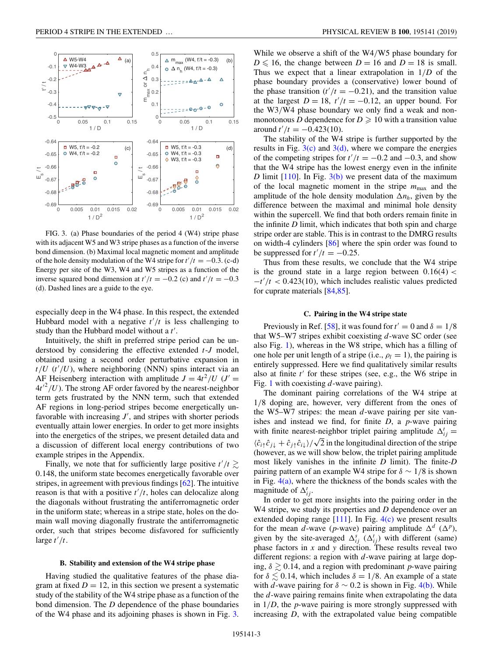

especially deep in the W4 phase. In this respect, the extended Hubbard model with a negative  $t'/t$  is less challenging to study than the Hubbard model without a t'.

Intuitively, the shift in preferred stripe period can be understood by considering the effective extended *t*-*J* model, obtained using a second order perturbative expansion in  $t/U$  ( $t'/U$ ), where neighboring (NNN) spins interact via an AF Heisenberg interaction with amplitude  $J = 4t^2/U$  ( $J' =$  $4t'^2/U$ ). The strong AF order favored by the nearest-neighbor term gets frustrated by the NNN term, such that extended AF regions in long-period stripes become energetically unfavorable with increasing  $J'$ , and stripes with shorter periods eventually attain lower energies. In order to get more insights into the energetics of the stripes, we present detailed data and a discussion of different local energy contributions of two example stripes in the Appendix.

Finally, we note that for sufficiently large positive  $t'/t \gtrsim$ 0.148, the uniform state becomes energetically favorable over stripes, in agreement with previous findings [\[62\]](#page-6-0). The intuitive reason is that with a positive  $t'/t$ , holes can delocalize along the diagonals without frustrating the antiferromagnetic order in the uniform state; whereas in a stripe state, holes on the domain wall moving diagonally frustrate the antiferromagnetic order, such that stripes become disfavored for sufficiently large  $t'/t$ .

#### **B. Stability and extension of the W4 stripe phase**

Having studied the qualitative features of the phase diagram at fixed  $D = 12$ , in this section we present a systematic study of the stability of the W4 stripe phase as a function of the bond dimension. The *D* dependence of the phase boundaries of the W4 phase and its adjoining phases is shown in Fig. 3. While we observe a shift of the W4/W5 phase boundary for  $D \le 16$ , the change between  $D = 16$  and  $D = 18$  is small. Thus we expect that a linear extrapolation in 1/*D* of the phase boundary provides a (conservative) lower bound of the phase transition  $(t'/t = -0.21)$ , and the transition value at the largest  $D = 18$ ,  $t'/t = -0.12$ , an upper bound. For the W3/W4 phase boundary we only find a weak and nonmonotonous *D* dependence for  $D \ge 10$  with a transition value  $\frac{1}{t}$  *t'* /*t* = -0.423(10).

The stability of the W4 stripe is further supported by the results in Fig.  $3(c)$  and  $3(d)$ , where we compare the energies of the competing stripes for  $t'/t = -0.2$  and  $-0.3$ , and show that the W4 stripe has the lowest energy even in the infinite *D* limit  $[110]$ . In Fig.  $3(b)$  we present data of the maximum of the local magnetic moment in the stripe *m*max and the amplitude of the hole density modulation  $\Delta n_h$ , given by the difference between the maximal and minimal hole density within the supercell. We find that both orders remain finite in the infinite *D* limit, which indicates that both spin and charge stripe order are stable. This is in contrast to the DMRG results on width-4 cylinders [\[86\]](#page-7-0) where the spin order was found to be suppressed for  $t'/t = -0.25$ .

Thus from these results, we conclude that the W4 stripe is the ground state in a large region between  $0.16(4)$  < −*t*- /*t* < 0.423(10), which includes realistic values predicted for cuprate materials [\[84,85\]](#page-7-0).

#### **C. Pairing in the W4 stripe state**

Previously in Ref. [\[58\]](#page-6-0), it was found for  $t' = 0$  and  $\delta = 1/8$ that W5–W7 stripes exhibit coexisting *d*-wave SC order (see also Fig. [1\)](#page-2-0), whereas in the W8 stripe, which has a filling of one hole per unit length of a stripe (i.e.,  $\rho_l = 1$ ), the pairing is entirely suppressed. Here we find qualitatively similar results also at finite t' for these stripes (see, e.g., the W6 stripe in Fig. [1](#page-2-0) with coexisting *d*-wave pairing).

The dominant pairing correlations of the W4 stripe at 1/8 doping are, however, very different from the ones of the W5–W7 stripes: the mean *d*-wave pairing per site vanishes and instead we find, for finite *D*, a *p*-wave pairing with finite nearest-neighbor triplet pairing amplitude  $\Delta_{ij}^t =$  $\langle \hat{c}_{i\uparrow} \hat{c}_{j\downarrow} + \hat{c}_{j\uparrow} \hat{c}_{i\downarrow} \rangle / \sqrt{2}$  in the longitudinal direction of the stripe (however, as we will show below, the triplet pairing amplitude most likely vanishes in the infinite *D* limit). The finite-*D* pairing pattern of an example W4 stripe for  $\delta \sim 1/8$  is shown in Fig.  $4(a)$ , where the thickness of the bonds scales with the magnitude of  $\Delta_{ij}^t$ .

In order to get more insights into the pairing order in the W4 stripe, we study its properties and *D* dependence over an extended doping range  $[111]$ . In Fig.  $4(c)$  we present results for the mean *d*-wave (*p*-wave) pairing amplitude  $\Delta^d$  ( $\Delta^p$ ), given by the site-averaged  $\Delta_{ij}^s$  ( $\Delta_{ij}^t$ ) with different (same) phase factors in *x* and *y* direction. These results reveal two different regions: a region with *d*-wave pairing at large doping,  $\delta \geq 0.14$ , and a region with predominant *p*-wave pairing for  $\delta \lesssim 0.14$ , which includes  $\delta = 1/8$ . An example of a state with *d*-wave pairing for  $\delta \sim 0.2$  is shown in Fig. [4\(b\).](#page-4-0) While the *d*-wave pairing remains finite when extrapolating the data in 1/*D*, the *p*-wave pairing is more strongly suppressed with increasing *D*, with the extrapolated value being compatible

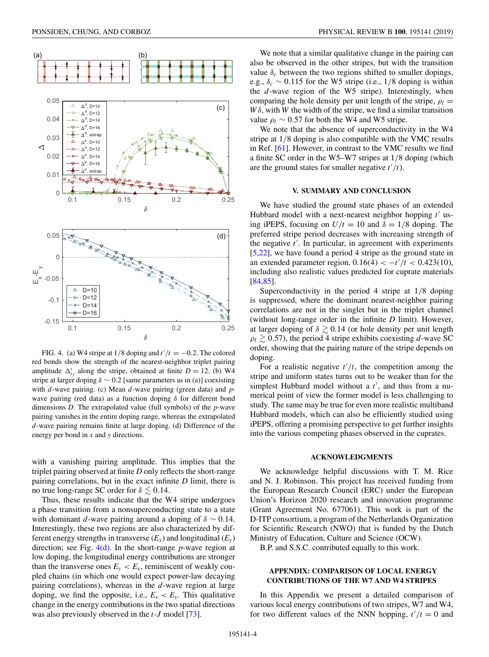<span id="page-4-0"></span>

FIG. 4. (a) W4 stripe at  $1/8$  doping and  $t'/t = -0.2$ . The colored red bonds show the strength of the nearest-neighbor triplet pairing amplitude  $\Delta_{ij}^t$  along the stripe, obtained at finite  $D = 12$ . (b) W4 stripe at larger doping  $\delta \sim 0.2$  [same parameters as in (a)] coexisting with *d*-wave pairing. (c) Mean *d*-wave pairing (green data) and *p*wave pairing (red data) as a function doping  $\delta$  for different bond dimensions *D*. The extrapolated value (full symbols) of the *p*-wave pairing vanishes in the entire doping range, whereas the extrapolated *d*-wave pairing remains finite at large doping. (d) Difference of the energy per bond in *x* and *y* directions.

with a vanishing pairing amplitude. This implies that the triplet pairing observed at finite *D* only reflects the short-range pairing correlations, but in the exact infinite *D* limit, there is no true long-range SC order for  $\delta \lesssim 0.14.$ 

Thus, these results indicate that the W4 stripe undergoes a phase transition from a nonsuperconducting state to a state with dominant *d*-wave pairing around a doping of  $\delta \sim 0.14$ . Interestingly, these two regions are also characterized by different energy strengths in transverse  $(E_x)$  and longitudinal  $(E_y)$ direction; see Fig. 4(d). In the short-range *p*-wave region at low doping, the longitudinal energy contributions are stronger than the transverse ones  $E_y < E_x$ , reminiscent of weakly coupled chains (in which one would expect power-law decaying pairing correlations), whereas in the *d*-wave region at large doping, we find the opposite, i.e.,  $E_x < E_y$ . This qualitative change in the energy contributions in the two spatial directions was also previously observed in the *t*-*J* model [\[73\]](#page-7-0).

We note that a similar qualitative change in the pairing can also be observed in the other stripes, but with the transition value  $\delta_c$  between the two regions shifted to smaller dopings, e.g.,  $\delta_c \sim 0.115$  for the W5 stripe (i.e., 1/8 doping is within the *d*-wave region of the W5 stripe). Interestingly, when comparing the hole density per unit length of the stripe,  $\rho_l =$  $W\delta$ , with *W* the width of the stripe, we find a similar transition value  $\rho_l \sim 0.57$  for both the W4 and W5 stripe.

We note that the absence of superconductivity in the W4 stripe at 1/8 doping is also compatible with the VMC results in Ref. [\[61\]](#page-6-0). However, in contrast to the VMC results we find a finite SC order in the W5–W7 stripes at 1/8 doping (which are the ground states for smaller negative  $t'/t$ ).

#### **V. SUMMARY AND CONCLUSION**

We have studied the ground state phases of an extended Hubbard model with a next-nearest neighbor hopping t' using iPEPS, focusing on  $U/t = 10$  and  $\delta = 1/8$  doping. The preferred stripe period decreases with increasing strength of the negative  $t'$ . In particular, in agreement with experiments [\[5](#page-5-0)[,22\]](#page-6-0), we have found a period 4 stripe as the ground state in an extended parameter region,  $0.16(4) < -t'/t < 0.423(10)$ , including also realistic values predicted for cuprate materials [\[84,85\]](#page-7-0).

Superconductivity in the period 4 stripe at 1/8 doping is suppressed, where the dominant nearest-neighbor pairing correlations are not in the singlet but in the triplet channel (without long-range order in the infinite *D* limit). However, at larger doping of  $\delta \gtrsim 0.14$  (or hole density per unit length  $\rho_l \geq 0.57$ , the period 4 stripe exhibits coexisting *d*-wave SC order, showing that the pairing nature of the stripe depends on doping.

For a realistic negative  $t'/t$ , the competition among the stripe and uniform states turns out to be weaker than for the simplest Hubbard model without a  $t'$ , and thus from a numerical point of view the former model is less challenging to study. The same may be true for even more realistic multiband Hubbard models, which can also be efficiently studied using iPEPS, offering a promising perspective to get further insights into the various competing phases observed in the cuprates.

#### **ACKNOWLEDGMENTS**

We acknowledge helpful discussions with T. M. Rice and N. J. Robinson. This project has received funding from the European Research Council (ERC) under the European Union's Horizon 2020 research and innovation programme (Grant Agreement No. 677061). This work is part of the D-ITP consortium, a program of the Netherlands Organization for Scientific Research (NWO) that is funded by the Dutch Ministry of Education, Culture and Science (OCW).

B.P. and S.S.C. contributed equally to this work.

#### **APPENDIX: COMPARISON OF LOCAL ENERGY CONTRIBUTIONS OF THE W7 AND W4 STRIPES**

In this Appendix we present a detailed comparison of various local energy contributions of two stripes, W7 and W4, for two different values of the NNN hopping,  $t'/t = 0$  and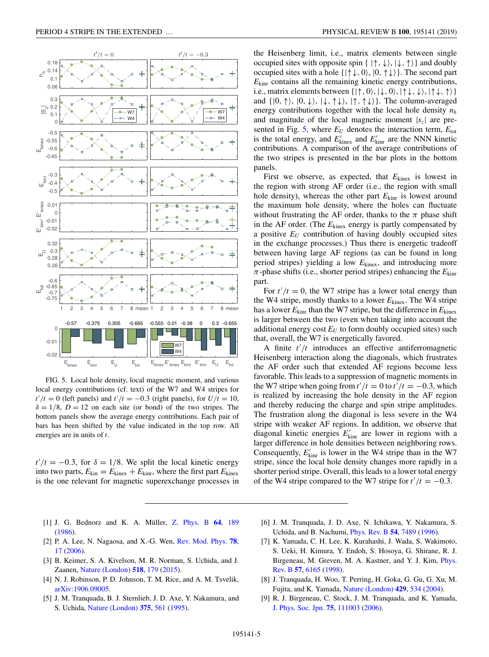<span id="page-5-0"></span>

FIG. 5. Local hole density, local magnetic moment, and various local energy contributions (cf. text) of the W7 and W4 stripes for  $t'/t = 0$  (left panels) and  $t'/t = -0.3$  (right panels), for  $U/t = 10$ ,  $\delta = 1/8$ ,  $D = 12$  on each site (or bond) of the two stripes. The bottom panels show the average energy contributions. Each pair of bars has been shifted by the value indicated in the top row. All energies are in units of *t*.

 $t'/t = -0.3$ , for  $\delta = 1/8$ . We split the local kinetic energy into two parts,  $E_{\text{kin}} = E_{\text{kines}} + E_{\text{kinn}}$ , where the first part  $E_{\text{kines}}$ is the one relevant for magnetic superexchange processes in

the Heisenberg limit, i.e., matrix elements between single occupied sites with opposite spin  $\{ | \uparrow, \downarrow \rangle, | \downarrow, \uparrow \rangle \}$  and doubly occupied sites with a hole  $\{|\uparrow\downarrow, 0\rangle, |0, \uparrow\downarrow\rangle\}$ . The second part  $E_{\text{kinr}}$  contains all the remaining kinetic energy contributions, i.e., matrix elements between  $\{|\uparrow, 0\rangle, |\downarrow, 0\rangle, |\uparrow\downarrow, \downarrow\rangle, |\uparrow\downarrow, \uparrow\rangle\}$ and  $\{|0, \uparrow\rangle, |0, \downarrow\rangle, |\downarrow, \uparrow\downarrow\rangle, |\uparrow, \uparrow\downarrow\rangle\}.$  The column-averaged energy contributions together with the local hole density *nh* and magnitude of the local magnetic moment  $|s<sub>z</sub>|$  are presented in Fig. 5, where  $E_U$  denotes the interaction term,  $E_{tot}$ is the total energy, and  $E'_{\text{kinex}}$  and  $E'_{\text{kinr}}$  are the NNN kinetic contributions. A comparison of the average contributions of the two stripes is presented in the bar plots in the bottom panels.

First we observe, as expected, that  $E_{\text{kinex}}$  is lowest in the region with strong AF order (i.e., the region with small hole density), whereas the other part  $E_{\text{kinr}}$  is lowest around the maximum hole density, where the holes can fluctuate without frustrating the AF order, thanks to the  $\pi$  phase shift in the AF order. (The *E*kinex energy is partly compensated by a positive  $E_U$  contribution of having doubly occupied sites in the exchange processes.) Thus there is energetic tradeoff between having large AF regions (as can be found in long period stripes) yielding a low *E*kinex, and introducing more  $\pi$ -phase shifts (i.e., shorter period stripes) enhancing the  $E_{\text{kinr}}$ part.

For  $t'/t = 0$ , the W7 stripe has a lower total energy than the W4 stripe, mostly thanks to a lower *E*kinex. The W4 stripe has a lower  $E_{\text{kinr}}$  than the W7 stripe, but the difference in  $E_{\text{kines}}$ is larger between the two (even when taking into account the additional energy cost  $E_U$  to form doubly occupied sites) such that, overall, the W7 is energetically favored.

A finite  $t'/t$  introduces an effective antiferromagnetic Heisenberg interaction along the diagonals, which frustrates the AF order such that extended AF regions become less favorable. This leads to a suppression of magnetic moments in the W7 stripe when going from  $t'/t = 0$  to  $t'/t = -0.3$ , which is realized by increasing the hole density in the AF region and thereby reducing the charge and spin stripe amplitudes. The frustration along the diagonal is less severe in the W4 stripe with weaker AF regions. In addition, we observe that diagonal kinetic energies  $E'_{\text{kinr}}$  are lower in regions with a larger difference in hole densities between neighboring rows. Consequently,  $E'_{\text{kinr}}$  is lower in the W4 stripe than in the W7 stripe, since the local hole density changes more rapidly in a shorter period stripe. Overall, this leads to a lower total energy of the W4 stripe compared to the W7 stripe for  $t'/t = -0.3$ .

- [1] J. G. Bednorz and K. A. Müller, [Z. Phys. B](https://doi.org/10.1007/BF01303701) **[64](https://doi.org/10.1007/BF01303701)**, [189](https://doi.org/10.1007/BF01303701) [\(1986\)](https://doi.org/10.1007/BF01303701).
- [2] P. A. Lee, N. Nagaosa, and X.-G. Wen, [Rev. Mod. Phys.](https://doi.org/10.1103/RevModPhys.78.17) **[78](https://doi.org/10.1103/RevModPhys.78.17)**, [17](https://doi.org/10.1103/RevModPhys.78.17) [\(2006\)](https://doi.org/10.1103/RevModPhys.78.17).
- [3] B. Keimer, S. A. Kivelson, M. R. Norman, S. Uchida, and J. Zaanen, [Nature \(London\)](https://doi.org/10.1038/nature14165) **[518](https://doi.org/10.1038/nature14165)**, [179](https://doi.org/10.1038/nature14165) [\(2015\)](https://doi.org/10.1038/nature14165).
- [4] N. J. Robinson, P. D. Johnson, T. M. Rice, and A. M. Tsvelik, [arXiv:1906.09005.](http://arxiv.org/abs/arXiv:1906.09005)
- [5] J. M. Tranquada, B. J. Sternlieb, J. D. Axe, Y. Nakamura, and S. Uchida, [Nature \(London\)](https://doi.org/10.1038/375561a0) **[375](https://doi.org/10.1038/375561a0)**, [561](https://doi.org/10.1038/375561a0) [\(1995\)](https://doi.org/10.1038/375561a0).
- [6] J. M. Tranquada, J. D. Axe, N. Ichikawa, Y. Nakamura, S. Uchida, and B. Nachumi, [Phys. Rev. B](https://doi.org/10.1103/PhysRevB.54.7489) **[54](https://doi.org/10.1103/PhysRevB.54.7489)**, [7489](https://doi.org/10.1103/PhysRevB.54.7489) [\(1996\)](https://doi.org/10.1103/PhysRevB.54.7489).
- [7] K. Yamada, C. H. Lee, K. Kurahashi, J. Wada, S. Wakimoto, S. Ueki, H. Kimura, Y. Endoh, S. Hosoya, G. Shirane, R. J. [Birgeneau, M. Greven, M. A. Kastner, and Y. J. Kim,](https://doi.org/10.1103/PhysRevB.57.6165) Phys. Rev. B **[57](https://doi.org/10.1103/PhysRevB.57.6165)**, [6165](https://doi.org/10.1103/PhysRevB.57.6165) [\(1998\)](https://doi.org/10.1103/PhysRevB.57.6165).
- [8] J. Tranquada, H. Woo, T. Perring, H. Goka, G. Gu, G. Xu, M. Fujita, and K. Yamada, [Nature \(London\)](https://doi.org/10.1038/nature02574) **[429](https://doi.org/10.1038/nature02574)**, [534](https://doi.org/10.1038/nature02574) [\(2004\)](https://doi.org/10.1038/nature02574).
- [9] R. J. Birgeneau, C. Stock, J. M. Tranquada, and K. Yamada, [J. Phys. Soc. Jpn.](https://doi.org/10.1143/JPSJ.75.111003) **[75](https://doi.org/10.1143/JPSJ.75.111003)**, [111003](https://doi.org/10.1143/JPSJ.75.111003) [\(2006\)](https://doi.org/10.1143/JPSJ.75.111003).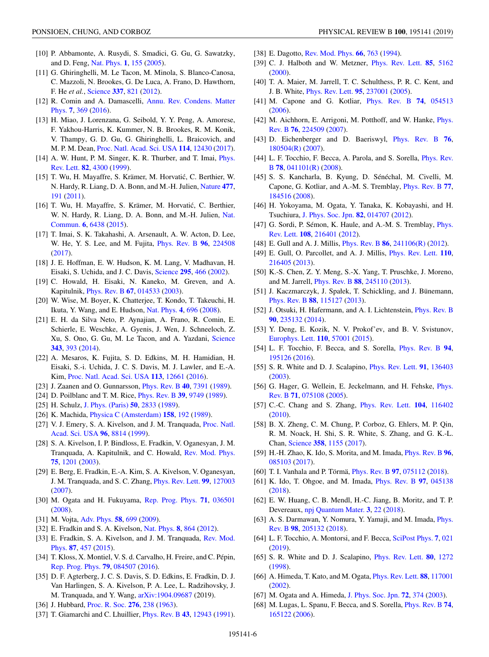- <span id="page-6-0"></span>[10] P. Abbamonte, A. Rusydi, S. Smadici, G. Gu, G. Sawatzky, and D. Feng, [Nat. Phys.](https://doi.org/10.1038/nphys178) **[1](https://doi.org/10.1038/nphys178)**, [155](https://doi.org/10.1038/nphys178) [\(2005\)](https://doi.org/10.1038/nphys178).
- [11] G. Ghiringhelli, M. Le Tacon, M. Minola, S. Blanco-Canosa, C. Mazzoli, N. Brookes, G. De Luca, A. Frano, D. Hawthorn, F. He *et al.*, [Science](https://doi.org/10.1126/science.1223532) **[337](https://doi.org/10.1126/science.1223532)**, [821](https://doi.org/10.1126/science.1223532) [\(2012\)](https://doi.org/10.1126/science.1223532).
- [12] [R. Comin and A. Damascelli,](https://doi.org/10.1146/annurev-conmatphys-031115-011401) Annu. Rev. Condens. Matter Phys. **[7](https://doi.org/10.1146/annurev-conmatphys-031115-011401)**, [369](https://doi.org/10.1146/annurev-conmatphys-031115-011401) [\(2016\)](https://doi.org/10.1146/annurev-conmatphys-031115-011401).
- [13] H. Miao, J. Lorenzana, G. Seibold, Y. Y. Peng, A. Amorese, F. Yakhou-Harris, K. Kummer, N. B. Brookes, R. M. Konik, V. Thampy, G. D. Gu, G. Ghiringhelli, L. Braicovich, and M. P. M. Dean, [Proc. Natl. Acad. Sci. USA](https://doi.org/10.1073/pnas.1708549114) **[114](https://doi.org/10.1073/pnas.1708549114)**, [12430](https://doi.org/10.1073/pnas.1708549114) [\(2017\)](https://doi.org/10.1073/pnas.1708549114).
- [14] [A. W. Hunt, P. M. Singer, K. R. Thurber, and T. Imai,](https://doi.org/10.1103/PhysRevLett.82.4300) *Phys.* Rev. Lett. **[82](https://doi.org/10.1103/PhysRevLett.82.4300)**, [4300](https://doi.org/10.1103/PhysRevLett.82.4300) [\(1999\)](https://doi.org/10.1103/PhysRevLett.82.4300).
- [15] T. Wu, H. Mayaffre, S. Krämer, M. Horvatic, C. Berthier, W. ´ N. Hardy, R. Liang, D. A. Bonn, and M.-H. Julien, [Nature](https://doi.org/10.1038/nature10345) **[477](https://doi.org/10.1038/nature10345)**, [191](https://doi.org/10.1038/nature10345) [\(2011\)](https://doi.org/10.1038/nature10345).
- [16] T. Wu, H. Mayaffre, S. Krämer, M. Horvatić, C. Berthier, [W. N. Hardy, R. Liang, D. A. Bonn, and M.-H. Julien,](https://doi.org/10.1038/ncomms7438) Nat. Commun. **[6](https://doi.org/10.1038/ncomms7438)**, [6438](https://doi.org/10.1038/ncomms7438) [\(2015\)](https://doi.org/10.1038/ncomms7438).
- [17] T. Imai, S. K. Takahashi, A. Arsenault, A. W. Acton, D. Lee, W. He, Y. S. Lee, and M. Fujita, [Phys. Rev. B](https://doi.org/10.1103/PhysRevB.96.224508) **[96](https://doi.org/10.1103/PhysRevB.96.224508)**, [224508](https://doi.org/10.1103/PhysRevB.96.224508) [\(2017\)](https://doi.org/10.1103/PhysRevB.96.224508).
- [18] J. E. Hoffman, E. W. Hudson, K. M. Lang, V. Madhavan, H. Eisaki, S. Uchida, and J. C. Davis, [Science](https://doi.org/10.1126/science.1066974) **[295](https://doi.org/10.1126/science.1066974)**, [466](https://doi.org/10.1126/science.1066974) [\(2002\)](https://doi.org/10.1126/science.1066974).
- [19] C. Howald, H. Eisaki, N. Kaneko, M. Greven, and A. Kapitulnik, [Phys. Rev. B](https://doi.org/10.1103/PhysRevB.67.014533) **[67](https://doi.org/10.1103/PhysRevB.67.014533)**, [014533](https://doi.org/10.1103/PhysRevB.67.014533) [\(2003\)](https://doi.org/10.1103/PhysRevB.67.014533).
- [20] W. Wise, M. Boyer, K. Chatterjee, T. Kondo, T. Takeuchi, H. Ikuta, Y. Wang, and E. Hudson, [Nat. Phys.](https://doi.org/10.1038/nphys1021) **[4](https://doi.org/10.1038/nphys1021)**, [696](https://doi.org/10.1038/nphys1021) [\(2008\)](https://doi.org/10.1038/nphys1021).
- [21] E. H. da Silva Neto, P. Aynajian, A. Frano, R. Comin, E. Schierle, E. Weschke, A. Gyenis, J. Wen, J. Schneeloch, Z. Xu, S. Ono, G. Gu, M. Le Tacon, and A. Yazdani, [Science](https://doi.org/10.1126/science.1243479) **[343](https://doi.org/10.1126/science.1243479)**, [393](https://doi.org/10.1126/science.1243479) [\(2014\)](https://doi.org/10.1126/science.1243479).
- [22] A. Mesaros, K. Fujita, S. D. Edkins, M. H. Hamidian, H. Eisaki, S.-i. Uchida, J. C. S. Davis, M. J. Lawler, and E.-A. Kim, [Proc. Natl. Acad. Sci. USA](https://doi.org/10.1073/pnas.1614247113) **[113](https://doi.org/10.1073/pnas.1614247113)**, [12661](https://doi.org/10.1073/pnas.1614247113) [\(2016\)](https://doi.org/10.1073/pnas.1614247113).
- [23] J. Zaanen and O. Gunnarsson, [Phys. Rev. B](https://doi.org/10.1103/PhysRevB.40.7391) **[40](https://doi.org/10.1103/PhysRevB.40.7391)**, [7391](https://doi.org/10.1103/PhysRevB.40.7391) [\(1989\)](https://doi.org/10.1103/PhysRevB.40.7391).
- [24] D. Poilblanc and T. M. Rice, [Phys. Rev. B](https://doi.org/10.1103/PhysRevB.39.9749) **[39](https://doi.org/10.1103/PhysRevB.39.9749)**, [9749](https://doi.org/10.1103/PhysRevB.39.9749) [\(1989\)](https://doi.org/10.1103/PhysRevB.39.9749).
- [25] H. Schulz, [J. Phys. \(Paris\)](https://doi.org/10.1051/jphys:0198900500180283300) **[50](https://doi.org/10.1051/jphys:0198900500180283300)**, [2833](https://doi.org/10.1051/jphys:0198900500180283300) [\(1989\)](https://doi.org/10.1051/jphys:0198900500180283300).
- [26] K. Machida, [Physica C \(Amsterdam\)](https://doi.org/10.1016/0921-4534(89)90316-X) **[158](https://doi.org/10.1016/0921-4534(89)90316-X)**, [192](https://doi.org/10.1016/0921-4534(89)90316-X) [\(1989\)](https://doi.org/10.1016/0921-4534(89)90316-X).
- [27] [V. J. Emery, S. A. Kivelson, and J. M. Tranquada,](https://doi.org/10.1073/pnas.96.16.8814) Proc. Natl. Acad. Sci. USA **[96](https://doi.org/10.1073/pnas.96.16.8814)**, [8814](https://doi.org/10.1073/pnas.96.16.8814) [\(1999\)](https://doi.org/10.1073/pnas.96.16.8814).
- [28] S. A. Kivelson, I. P. Bindloss, E. Fradkin, V. Oganesyan, J. M. Tranquada, A. Kapitulnik, and C. Howald, [Rev. Mod. Phys.](https://doi.org/10.1103/RevModPhys.75.1201) **[75](https://doi.org/10.1103/RevModPhys.75.1201)**, [1201](https://doi.org/10.1103/RevModPhys.75.1201) [\(2003\)](https://doi.org/10.1103/RevModPhys.75.1201).
- [29] E. Berg, E. Fradkin, E.-A. Kim, S. A. Kivelson, V. Oganesyan, J. M. Tranquada, and S. C. Zhang, [Phys. Rev. Lett.](https://doi.org/10.1103/PhysRevLett.99.127003) **[99](https://doi.org/10.1103/PhysRevLett.99.127003)**, [127003](https://doi.org/10.1103/PhysRevLett.99.127003) [\(2007\)](https://doi.org/10.1103/PhysRevLett.99.127003).
- [30] M. Ogata and H. Fukuyama, [Rep. Prog. Phys.](https://doi.org/10.1088/0034-4885/71/3/036501) **[71](https://doi.org/10.1088/0034-4885/71/3/036501)**, [036501](https://doi.org/10.1088/0034-4885/71/3/036501) [\(2008\)](https://doi.org/10.1088/0034-4885/71/3/036501).
- [31] M. Vojta, [Adv. Phys.](https://doi.org/10.1080/00018730903122242) **[58](https://doi.org/10.1080/00018730903122242)**, [699](https://doi.org/10.1080/00018730903122242) [\(2009\)](https://doi.org/10.1080/00018730903122242).
- [32] E. Fradkin and S. A. Kivelson, [Nat. Phys.](https://doi.org/10.1038/nphys2498) **[8](https://doi.org/10.1038/nphys2498)**, [864](https://doi.org/10.1038/nphys2498) [\(2012\)](https://doi.org/10.1038/nphys2498).
- [33] [E. Fradkin, S. A. Kivelson, and J. M. Tranquada,](https://doi.org/10.1103/RevModPhys.87.457) Rev. Mod. Phys. **[87](https://doi.org/10.1103/RevModPhys.87.457)**, [457](https://doi.org/10.1103/RevModPhys.87.457) [\(2015\)](https://doi.org/10.1103/RevModPhys.87.457).
- [34] T. Kloss, X. Montiel, V. S. d. Carvalho, H. Freire, and C. Pépin, [Rep. Prog. Phys.](https://doi.org/10.1088/0034-4885/79/8/084507) **[79](https://doi.org/10.1088/0034-4885/79/8/084507)**, [084507](https://doi.org/10.1088/0034-4885/79/8/084507) [\(2016\)](https://doi.org/10.1088/0034-4885/79/8/084507).
- [35] D. F. Agterberg, J. C. S. Davis, S. D. Edkins, E. Fradkin, D. J. Van Harlingen, S. A. Kivelson, P. A. Lee, L. Radzihovsky, J. M. Tranquada, and Y. Wang, [arXiv:1904.09687](http://arxiv.org/abs/arXiv:1904.09687) (2019).
- [36] J. Hubbard, [Proc. R. Soc.](https://doi.org/10.1098/rspa.1963.0204) **[276](https://doi.org/10.1098/rspa.1963.0204)**, [238](https://doi.org/10.1098/rspa.1963.0204) [\(1963\)](https://doi.org/10.1098/rspa.1963.0204).
- [37] T. Giamarchi and C. Lhuillier, [Phys. Rev. B](https://doi.org/10.1103/PhysRevB.43.12943) **[43](https://doi.org/10.1103/PhysRevB.43.12943)**, [12943](https://doi.org/10.1103/PhysRevB.43.12943) [\(1991\)](https://doi.org/10.1103/PhysRevB.43.12943).
- [38] E. Dagotto, [Rev. Mod. Phys.](https://doi.org/10.1103/RevModPhys.66.763) **[66](https://doi.org/10.1103/RevModPhys.66.763)**, [763](https://doi.org/10.1103/RevModPhys.66.763) [\(1994\)](https://doi.org/10.1103/RevModPhys.66.763).
- [39] C. J. Halboth and W. Metzner, [Phys. Rev. Lett.](https://doi.org/10.1103/PhysRevLett.85.5162) **[85](https://doi.org/10.1103/PhysRevLett.85.5162)**, [5162](https://doi.org/10.1103/PhysRevLett.85.5162) [\(2000\)](https://doi.org/10.1103/PhysRevLett.85.5162).
- [40] T. A. Maier, M. Jarrell, T. C. Schulthess, P. R. C. Kent, and J. B. White, [Phys. Rev. Lett.](https://doi.org/10.1103/PhysRevLett.95.237001) **[95](https://doi.org/10.1103/PhysRevLett.95.237001)**, [237001](https://doi.org/10.1103/PhysRevLett.95.237001) [\(2005\)](https://doi.org/10.1103/PhysRevLett.95.237001).
- [41] M. Capone and G. Kotliar, [Phys. Rev. B](https://doi.org/10.1103/PhysRevB.74.054513) **[74](https://doi.org/10.1103/PhysRevB.74.054513)**, [054513](https://doi.org/10.1103/PhysRevB.74.054513) [\(2006\)](https://doi.org/10.1103/PhysRevB.74.054513).
- [42] [M. Aichhorn, E. Arrigoni, M. Potthoff, and W. Hanke,](https://doi.org/10.1103/PhysRevB.76.224509) *Phys.* Rev. B **[76](https://doi.org/10.1103/PhysRevB.76.224509)**, [224509](https://doi.org/10.1103/PhysRevB.76.224509) [\(2007\)](https://doi.org/10.1103/PhysRevB.76.224509).
- [43] D. Eichenberger and D. Baeriswyl, [Phys. Rev. B](https://doi.org/10.1103/PhysRevB.76.180504) **[76](https://doi.org/10.1103/PhysRevB.76.180504)**, [180504\(R\)](https://doi.org/10.1103/PhysRevB.76.180504) [\(2007\)](https://doi.org/10.1103/PhysRevB.76.180504).
- [44] [L. F. Tocchio, F. Becca, A. Parola, and S. Sorella,](https://doi.org/10.1103/PhysRevB.78.041101) *Phys. Rev.* B **[78](https://doi.org/10.1103/PhysRevB.78.041101)**, [041101\(R\)](https://doi.org/10.1103/PhysRevB.78.041101) [\(2008\)](https://doi.org/10.1103/PhysRevB.78.041101).
- [45] S. S. Kancharla, B. Kyung, D. Sénéchal, M. Civelli, M. Capone, G. Kotliar, and A.-M. S. Tremblay, [Phys. Rev. B](https://doi.org/10.1103/PhysRevB.77.184516) **[77](https://doi.org/10.1103/PhysRevB.77.184516)**, [184516](https://doi.org/10.1103/PhysRevB.77.184516) [\(2008\)](https://doi.org/10.1103/PhysRevB.77.184516).
- [46] H. Yokoyama, M. Ogata, Y. Tanaka, K. Kobayashi, and H. Tsuchiura, [J. Phys. Soc. Jpn.](https://doi.org/10.7566/JPSJ.82.014707) **[82](https://doi.org/10.7566/JPSJ.82.014707)**, [014707](https://doi.org/10.7566/JPSJ.82.014707) [\(2012\)](https://doi.org/10.7566/JPSJ.82.014707).
- [47] [G. Sordi, P. Sémon, K. Haule, and A.-M. S. Tremblay,](https://doi.org/10.1103/PhysRevLett.108.216401) *Phys.* Rev. Lett. **[108](https://doi.org/10.1103/PhysRevLett.108.216401)**, [216401](https://doi.org/10.1103/PhysRevLett.108.216401) [\(2012\)](https://doi.org/10.1103/PhysRevLett.108.216401).
- [48] E. Gull and A. J. Millis, [Phys. Rev. B](https://doi.org/10.1103/PhysRevB.86.241106) **[86](https://doi.org/10.1103/PhysRevB.86.241106)**, [241106\(R\)](https://doi.org/10.1103/PhysRevB.86.241106) [\(2012\)](https://doi.org/10.1103/PhysRevB.86.241106).
- [49] E. Gull, O. Parcollet, and A. J. Millis, [Phys. Rev. Lett.](https://doi.org/10.1103/PhysRevLett.110.216405) **[110](https://doi.org/10.1103/PhysRevLett.110.216405)**, [216405](https://doi.org/10.1103/PhysRevLett.110.216405) [\(2013\)](https://doi.org/10.1103/PhysRevLett.110.216405).
- [50] K.-S. Chen, Z. Y. Meng, S.-X. Yang, T. Pruschke, J. Moreno, and M. Jarrell, [Phys. Rev. B](https://doi.org/10.1103/PhysRevB.88.245110) **[88](https://doi.org/10.1103/PhysRevB.88.245110)**, [245110](https://doi.org/10.1103/PhysRevB.88.245110) [\(2013\)](https://doi.org/10.1103/PhysRevB.88.245110).
- [51] J. Kaczmarczyk, J. Spałek, T. Schickling, and J. Bünemann, [Phys. Rev. B](https://doi.org/10.1103/PhysRevB.88.115127) **[88](https://doi.org/10.1103/PhysRevB.88.115127)**, [115127](https://doi.org/10.1103/PhysRevB.88.115127) [\(2013\)](https://doi.org/10.1103/PhysRevB.88.115127).
- [52] J. Otsuki, H. Hafermann, and A. I. Lichtenstein, *[Phys. Rev. B](https://doi.org/10.1103/PhysRevB.90.235132)* **[90](https://doi.org/10.1103/PhysRevB.90.235132)**, [235132](https://doi.org/10.1103/PhysRevB.90.235132) [\(2014\)](https://doi.org/10.1103/PhysRevB.90.235132).
- [53] Y. Deng, E. Kozik, N. V. Prokof'ev, and B. V. Svistunov, [Europhys. Lett.](https://doi.org/10.1209/0295-5075/110/57001) **[110](https://doi.org/10.1209/0295-5075/110/57001)**, [57001](https://doi.org/10.1209/0295-5075/110/57001) [\(2015\)](https://doi.org/10.1209/0295-5075/110/57001).
- [54] L. F. Tocchio, F. Becca, and S. Sorella, [Phys. Rev. B](https://doi.org/10.1103/PhysRevB.94.195126) **[94](https://doi.org/10.1103/PhysRevB.94.195126)**, [195126](https://doi.org/10.1103/PhysRevB.94.195126) [\(2016\)](https://doi.org/10.1103/PhysRevB.94.195126).
- [55] S. R. White and D. J. Scalapino, [Phys. Rev. Lett.](https://doi.org/10.1103/PhysRevLett.91.136403) **[91](https://doi.org/10.1103/PhysRevLett.91.136403)**, [136403](https://doi.org/10.1103/PhysRevLett.91.136403) [\(2003\)](https://doi.org/10.1103/PhysRevLett.91.136403).
- [56] [G. Hager, G. Wellein, E. Jeckelmann, and H. Fehske,](https://doi.org/10.1103/PhysRevB.71.075108) *Phys.* Rev. B **[71](https://doi.org/10.1103/PhysRevB.71.075108)**, [075108](https://doi.org/10.1103/PhysRevB.71.075108) [\(2005\)](https://doi.org/10.1103/PhysRevB.71.075108).
- [57] C.-C. Chang and S. Zhang, [Phys. Rev. Lett.](https://doi.org/10.1103/PhysRevLett.104.116402) **[104](https://doi.org/10.1103/PhysRevLett.104.116402)**, [116402](https://doi.org/10.1103/PhysRevLett.104.116402) [\(2010\)](https://doi.org/10.1103/PhysRevLett.104.116402).
- [58] B. X. Zheng, C. M. Chung, P. Corboz, G. Ehlers, M. P. Qin, R. M. Noack, H. Shi, S. R. White, S. Zhang, and G. K.-L. Chan, [Science](https://doi.org/10.1126/science.aam7127) **[358](https://doi.org/10.1126/science.aam7127)**, [1155](https://doi.org/10.1126/science.aam7127) [\(2017\)](https://doi.org/10.1126/science.aam7127).
- [59] H.-H. Zhao, K. Ido, S. Morita, and M. Imada, [Phys. Rev. B](https://doi.org/10.1103/PhysRevB.96.085103) **[96](https://doi.org/10.1103/PhysRevB.96.085103)**, [085103](https://doi.org/10.1103/PhysRevB.96.085103) [\(2017\)](https://doi.org/10.1103/PhysRevB.96.085103).
- [60] T. I. Vanhala and P. Törmä, [Phys. Rev. B](https://doi.org/10.1103/PhysRevB.97.075112) **[97](https://doi.org/10.1103/PhysRevB.97.075112)**, [075112](https://doi.org/10.1103/PhysRevB.97.075112) [\(2018\)](https://doi.org/10.1103/PhysRevB.97.075112).
- [61] K. Ido, T. Ohgoe, and M. Imada, [Phys. Rev. B](https://doi.org/10.1103/PhysRevB.97.045138) **[97](https://doi.org/10.1103/PhysRevB.97.045138)**, [045138](https://doi.org/10.1103/PhysRevB.97.045138) [\(2018\)](https://doi.org/10.1103/PhysRevB.97.045138).
- [62] E. W. Huang, C. B. Mendl, H.-C. Jiang, B. Moritz, and T. P. Devereaux, [npj Quantum Mater.](https://doi.org/10.1038/s41535-018-0097-0) **[3](https://doi.org/10.1038/s41535-018-0097-0)**, [22](https://doi.org/10.1038/s41535-018-0097-0) [\(2018\)](https://doi.org/10.1038/s41535-018-0097-0).
- [63] [A. S. Darmawan, Y. Nomura, Y. Yamaji, and M. Imada,](https://doi.org/10.1103/PhysRevB.98.205132) Phys. Rev. B **[98](https://doi.org/10.1103/PhysRevB.98.205132)**, [205132](https://doi.org/10.1103/PhysRevB.98.205132) [\(2018\)](https://doi.org/10.1103/PhysRevB.98.205132).
- [64] L. F. Tocchio, A. Montorsi, and F. Becca, [SciPost Phys.](https://doi.org/10.21468/SciPostPhys.7.2.021) **[7](https://doi.org/10.21468/SciPostPhys.7.2.021)**, [021](https://doi.org/10.21468/SciPostPhys.7.2.021) [\(2019\)](https://doi.org/10.21468/SciPostPhys.7.2.021).
- [65] S. R. White and D. J. Scalapino, [Phys. Rev. Lett.](https://doi.org/10.1103/PhysRevLett.80.1272) **[80](https://doi.org/10.1103/PhysRevLett.80.1272)**, [1272](https://doi.org/10.1103/PhysRevLett.80.1272) [\(1998\)](https://doi.org/10.1103/PhysRevLett.80.1272).
- [66] A. Himeda, T. Kato, and M. Ogata, [Phys. Rev. Lett.](https://doi.org/10.1103/PhysRevLett.88.117001) **[88](https://doi.org/10.1103/PhysRevLett.88.117001)**, [117001](https://doi.org/10.1103/PhysRevLett.88.117001) [\(2002\)](https://doi.org/10.1103/PhysRevLett.88.117001).
- [67] M. Ogata and A. Himeda, [J. Phys. Soc. Jpn.](https://doi.org/10.1143/JPSJ.72.374) **[72](https://doi.org/10.1143/JPSJ.72.374)**, [374](https://doi.org/10.1143/JPSJ.72.374) [\(2003\)](https://doi.org/10.1143/JPSJ.72.374).
- [68] M. Lugas, L. Spanu, F. Becca, and S. Sorella, [Phys. Rev. B](https://doi.org/10.1103/PhysRevB.74.165122) **[74](https://doi.org/10.1103/PhysRevB.74.165122)**, [165122](https://doi.org/10.1103/PhysRevB.74.165122) [\(2006\)](https://doi.org/10.1103/PhysRevB.74.165122).